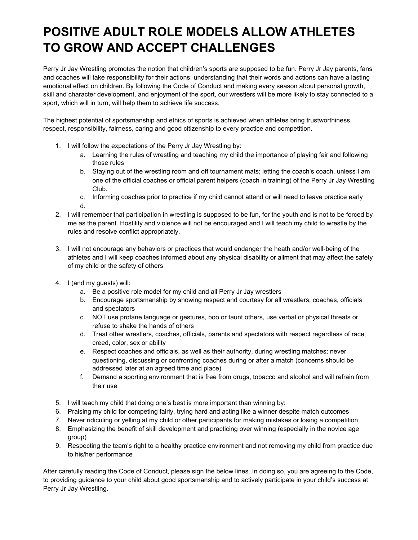## **POSITIVE ADULT ROLE MODELS ALLOW ATHLETES TO GROW AND ACCEPT CHALLENGES**

Perry Jr Jay Wrestling promotes the notion that children's sports are supposed to be fun. Perry Jr Jay parents, fans and coaches will take responsibility for their actions; understanding that their words and actions can have a lasting emotional effect on children. By following the Code of Conduct and making every season about personal growth, skill and character development, and enjoyment of the sport, our wrestlers will be more likely to stay connected to a sport, which will in turn, will help them to achieve life success.

The highest potential of sportsmanship and ethics of sports is achieved when athletes bring trustworthiness, respect, responsibility, fairness, caring and good citizenship to every practice and competition.

- 1. I will follow the expectations of the Perry Jr Jay Wrestling by:
	- a. Learning the rules of wrestling and teaching my child the importance of playing fair and following those rules
	- b. Staying out of the wrestling room and off tournament mats; letting the coach's coach, unless I am one of the official coaches or official parent helpers (coach in training) of the Perry Jr Jay Wrestling Club.
	- c. Informing coaches prior to practice if my child cannot attend or will need to leave practice early d.
- 2. I will remember that participation in wrestling is supposed to be fun, for the youth and is not to be forced by me as the parent. Hostility and violence will not be encouraged and I will teach my child to wrestle by the rules and resolve conflict appropriately.
- 3. I will not encourage any behaviors or practices that would endanger the heath and/or well-being of the athletes and I will keep coaches informed about any physical disability or ailment that may affect the safety of my child or the safety of others
- 4. I (and my guests) will:
	- a. Be a positive role model for my child and all Perry Jr Jay wrestlers
	- b. Encourage sportsmanship by showing respect and courtesy for all wrestlers, coaches, officials and spectators
	- c. NOT use profane language or gestures, boo or taunt others, use verbal or physical threats or refuse to shake the hands of others
	- d. Treat other wrestlers, coaches, officials, parents and spectators with respect regardless of race, creed, color, sex or ability
	- e. Respect coaches and officials, as well as their authority, during wrestling matches; never questioning, discussing or confronting coaches during or after a match (concerns should be addressed later at an agreed time and place)
	- f. Demand a sporting environment that is free from drugs, tobacco and alcohol and will refrain from their use
- 5. I will teach my child that doing one's best is more important than winning by:
- 6. Praising my child for competing fairly, trying hard and acting like a winner despite match outcomes
- 7. Never ridiculing or yelling at my child or other participants for making mistakes or losing a competition
- 8. Emphasizing the benefit of skill development and practicing over winning (especially in the novice age group)
- 9. Respecting the team's right to a healthy practice environment and not removing my child from practice due to his/her performance

After carefully reading the Code of Conduct, please sign the below lines. In doing so, you are agreeing to the Code, to providing guidance to your child about good sportsmanship and to actively participate in your child's success at Perry Jr Jay Wrestling.